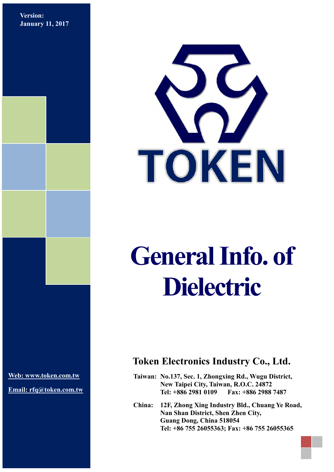**Version: January 11, 2017**



# **General Info. of Dielectric**

**[Web: www.token.com.tw](http://www.token.com.tw/)**

**Email: rfq@token.com.tw**

### **Token Electronics Industry Co., Ltd.**

**Taiwan: No.137, Sec. 1, Zhongxing Rd., Wugu District, New Taipei City, Taiwan, R.O.C. 24872 Tel: +886 2981 0109 Fax: +886 2988 7487**

**China: 12F, Zhong Xing Industry Bld., Chuang Ye Road, Nan Shan District, Shen Zhen City, Guang Dong, China 518054 Tel: +86 755 26055363; Fax: +86 755 26055365**